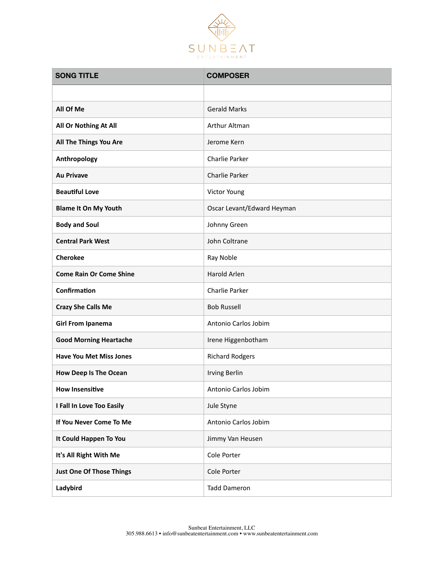

| <b>SONG TITLE</b>               | <b>COMPOSER</b>            |
|---------------------------------|----------------------------|
|                                 |                            |
| All Of Me                       | <b>Gerald Marks</b>        |
| All Or Nothing At All           | Arthur Altman              |
| All The Things You Are          | Jerome Kern                |
| Anthropology                    | Charlie Parker             |
| <b>Au Privave</b>               | Charlie Parker             |
| <b>Beautiful Love</b>           | Victor Young               |
| <b>Blame It On My Youth</b>     | Oscar Levant/Edward Heyman |
| <b>Body and Soul</b>            | Johnny Green               |
| <b>Central Park West</b>        | John Coltrane              |
| <b>Cherokee</b>                 | Ray Noble                  |
| <b>Come Rain Or Come Shine</b>  | Harold Arlen               |
| Confirmation                    | Charlie Parker             |
| <b>Crazy She Calls Me</b>       | <b>Bob Russell</b>         |
| <b>Girl From Ipanema</b>        | Antonio Carlos Jobim       |
| <b>Good Morning Heartache</b>   | Irene Higgenbotham         |
| <b>Have You Met Miss Jones</b>  | <b>Richard Rodgers</b>     |
| <b>How Deep Is The Ocean</b>    | <b>Irving Berlin</b>       |
| <b>How Insensitive</b>          | Antonio Carlos Jobim       |
| I Fall In Love Too Easily       | Jule Styne                 |
| If You Never Come To Me         | Antonio Carlos Jobim       |
| It Could Happen To You          | Jimmy Van Heusen           |
| It's All Right With Me          | Cole Porter                |
| <b>Just One Of Those Things</b> | Cole Porter                |
| Ladybird                        | <b>Tadd Dameron</b>        |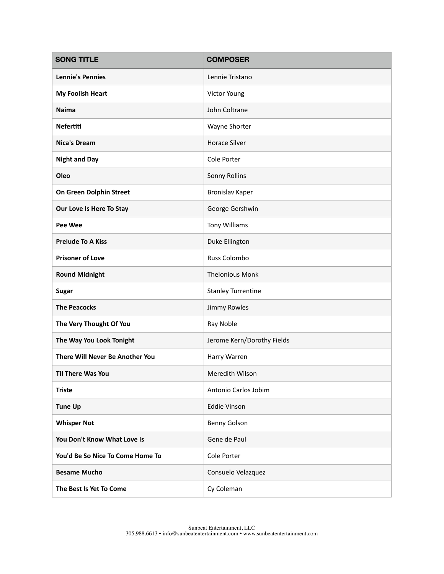| <b>SONG TITLE</b>                | <b>COMPOSER</b>            |
|----------------------------------|----------------------------|
| <b>Lennie's Pennies</b>          | Lennie Tristano            |
| <b>My Foolish Heart</b>          | Victor Young               |
| <b>Naima</b>                     | John Coltrane              |
| <b>Nefertiti</b>                 | Wayne Shorter              |
| <b>Nica's Dream</b>              | <b>Horace Silver</b>       |
| <b>Night and Day</b>             | Cole Porter                |
| Oleo                             | <b>Sonny Rollins</b>       |
| On Green Dolphin Street          | <b>Bronislav Kaper</b>     |
| Our Love Is Here To Stay         | George Gershwin            |
| <b>Pee Wee</b>                   | Tony Williams              |
| <b>Prelude To A Kiss</b>         | Duke Ellington             |
| <b>Prisoner of Love</b>          | <b>Russ Colombo</b>        |
| <b>Round Midnight</b>            | <b>Thelonious Monk</b>     |
| <b>Sugar</b>                     | <b>Stanley Turrentine</b>  |
| <b>The Peacocks</b>              | <b>Jimmy Rowles</b>        |
| The Very Thought Of You          | Ray Noble                  |
| The Way You Look Tonight         | Jerome Kern/Dorothy Fields |
| There Will Never Be Another You  | Harry Warren               |
| <b>Til There Was You</b>         | Meredith Wilson            |
| <b>Triste</b>                    | Antonio Carlos Jobim       |
| <b>Tune Up</b>                   | Eddie Vinson               |
| <b>Whisper Not</b>               | <b>Benny Golson</b>        |
| You Don't Know What Love Is      | Gene de Paul               |
| You'd Be So Nice To Come Home To | Cole Porter                |
| <b>Besame Mucho</b>              | Consuelo Velazquez         |
| The Best Is Yet To Come          | Cy Coleman                 |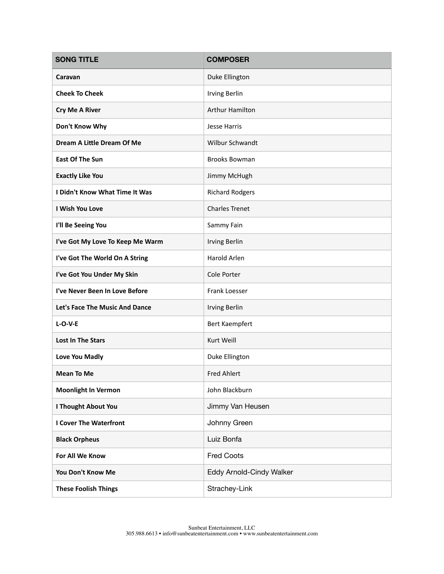| <b>SONG TITLE</b>                | <b>COMPOSER</b>          |
|----------------------------------|--------------------------|
| Caravan                          | Duke Ellington           |
| <b>Cheek To Cheek</b>            | <b>Irving Berlin</b>     |
| <b>Cry Me A River</b>            | <b>Arthur Hamilton</b>   |
| Don't Know Why                   | Jesse Harris             |
| Dream A Little Dream Of Me       | <b>Wilbur Schwandt</b>   |
| <b>East Of The Sun</b>           | <b>Brooks Bowman</b>     |
| <b>Exactly Like You</b>          | Jimmy McHugh             |
| I Didn't Know What Time It Was   | <b>Richard Rodgers</b>   |
| I Wish You Love                  | <b>Charles Trenet</b>    |
| I'll Be Seeing You               | Sammy Fain               |
| I've Got My Love To Keep Me Warm | <b>Irving Berlin</b>     |
| I've Got The World On A String   | Harold Arlen             |
| I've Got You Under My Skin       | Cole Porter              |
| I've Never Been In Love Before   | Frank Loesser            |
| Let's Face The Music And Dance   | <b>Irving Berlin</b>     |
| $L-O-V-E$                        | Bert Kaempfert           |
| <b>Lost In The Stars</b>         | Kurt Weill               |
| Love You Madly                   | Duke Ellington           |
| <b>Mean To Me</b>                | <b>Fred Ahlert</b>       |
| <b>Moonlight In Vermon</b>       | John Blackburn           |
| I Thought About You              | Jimmy Van Heusen         |
| <b>I Cover The Waterfront</b>    | Johnny Green             |
| <b>Black Orpheus</b>             | Luiz Bonfa               |
| For All We Know                  | <b>Fred Coots</b>        |
| You Don't Know Me                | Eddy Arnold-Cindy Walker |
| <b>These Foolish Things</b>      | Strachey-Link            |